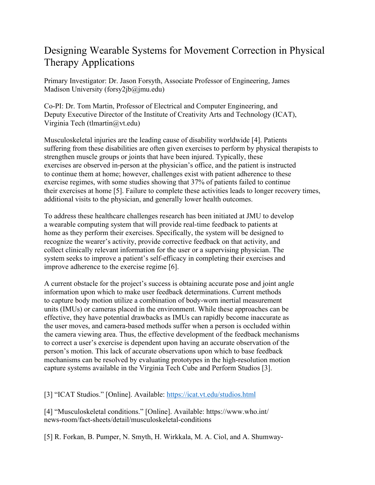## Designing Wearable Systems for Movement Correction in Physical Therapy Applications

Primary Investigator: Dr. Jason Forsyth, Associate Professor of Engineering, James Madison University (forsy2jb@jmu.edu)

Co-PI: Dr. Tom Martin, Professor of Electrical and Computer Engineering, and Deputy Executive Director of the Institute of Creativity Arts and Technology (ICAT), Virginia Tech (tlmartin@vt.edu)

Musculoskeletal injuries are the leading cause of disability worldwide [4]. Patients suffering from these disabilities are often given exercises to perform by physical therapists to strengthen muscle groups or joints that have been injured. Typically, these exercises are observed in-person at the physician's office, and the patient is instructed to continue them at home; however, challenges exist with patient adherence to these exercise regimes, with some studies showing that 37% of patients failed to continue their exercises at home [5]. Failure to complete these activities leads to longer recovery times, additional visits to the physician, and generally lower health outcomes.

To address these healthcare challenges research has been initiated at JMU to develop a wearable computing system that will provide real-time feedback to patients at home as they perform their exercises. Specifically, the system will be designed to recognize the wearer's activity, provide corrective feedback on that activity, and collect clinically relevant information for the user or a supervising physician. The system seeks to improve a patient's self-efficacy in completing their exercises and improve adherence to the exercise regime [6].

A current obstacle for the project's success is obtaining accurate pose and joint angle information upon which to make user feedback determinations. Current methods to capture body motion utilize a combination of body-worn inertial measurement units (IMUs) or cameras placed in the environment. While these approaches can be effective, they have potential drawbacks as IMUs can rapidly become inaccurate as the user moves, and camera-based methods suffer when a person is occluded within the camera viewing area. Thus, the effective development of the feedback mechanisms to correct a user's exercise is dependent upon having an accurate observation of the person's motion. This lack of accurate observations upon which to base feedback mechanisms can be resolved by evaluating prototypes in the high-resolution motion capture systems available in the Virginia Tech Cube and Perform Studios [3].

[3] "ICAT Studios." [Online]. Available: https://icat.vt.edu/studios.html

[4] "Musculoskeletal conditions." [Online]. Available: https://www.who.int/ news-room/fact-sheets/detail/musculoskeletal-conditions

[5] R. Forkan, B. Pumper, N. Smyth, H. Wirkkala, M. A. Ciol, and A. Shumway-